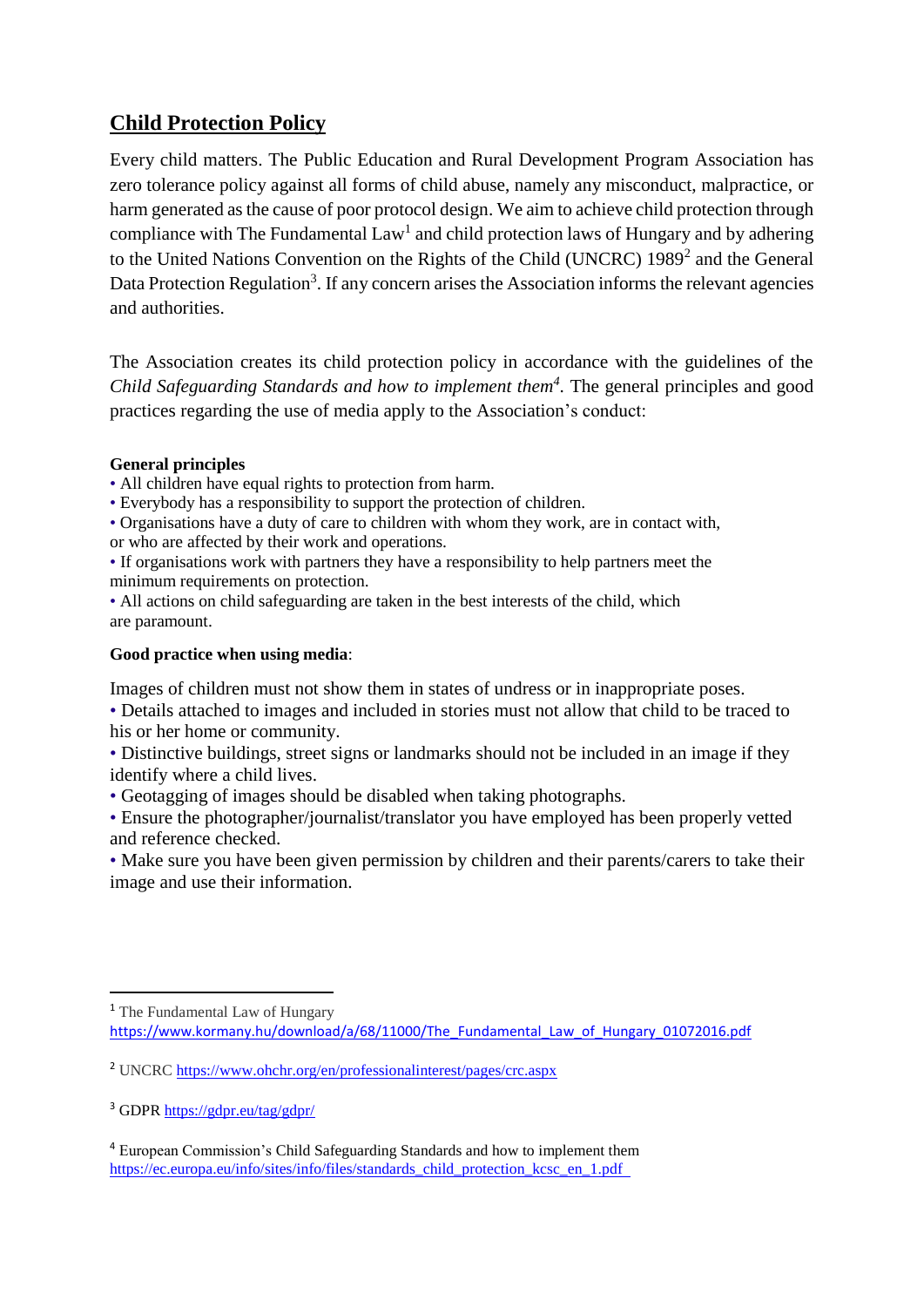## **Child Protection Policy**

Every child matters. The Public Education and Rural Development Program Association has zero tolerance policy against all forms of child abuse, namely any misconduct, malpractice, or harm generated as the cause of poor protocol design. We aim to achieve child protection through compliance with The Fundamental  $Law<sup>1</sup>$  and child protection laws of Hungary and by adhering to the United Nations Convention on the Rights of the Child (UNCRC) 1989<sup>2</sup> and the General Data Protection Regulation<sup>3</sup>. If any concern arises the Association informs the relevant agencies and authorities.

The Association creates its child protection policy in accordance with the guidelines of the *Child Safeguarding Standards and how to implement them<sup>4</sup> .* The general principles and good practices regarding the use of media apply to the Association's conduct:

## **General principles**

• All children have equal rights to protection from harm.

• Everybody has a responsibility to support the protection of children.

• Organisations have a duty of care to children with whom they work, are in contact with,

or who are affected by their work and operations.

• If organisations work with partners they have a responsibility to help partners meet the minimum requirements on protection.

• All actions on child safeguarding are taken in the best interests of the child, which are paramount.

## **Good practice when using media**:

Images of children must not show them in states of undress or in inappropriate poses.

• Details attached to images and included in stories must not allow that child to be traced to his or her home or community.

• Distinctive buildings, street signs or landmarks should not be included in an image if they identify where a child lives.

• Geotagging of images should be disabled when taking photographs.

• Ensure the photographer/journalist/translator you have employed has been properly vetted and reference checked.

• Make sure you have been given permission by children and their parents/carers to take their image and use their information.

 $\overline{a}$ <sup>1</sup> The Fundamental Law of Hungary [https://www.kormany.hu/download/a/68/11000/The\\_Fundamental\\_Law\\_of\\_Hungary\\_01072016.pdf](https://www.kormany.hu/download/a/68/11000/The_Fundamental_Law_of_Hungary_01072016.pdf)

<sup>&</sup>lt;sup>2</sup> UNCRC <https://www.ohchr.org/en/professionalinterest/pages/crc.aspx>

<sup>3</sup> GDPR<https://gdpr.eu/tag/gdpr/>

<sup>4</sup> European Commission's Child Safeguarding Standards and how to implement them https://ec.europa.eu/info/sites/info/files/standards\_child\_protection\_kcsc\_en\_1.pdf